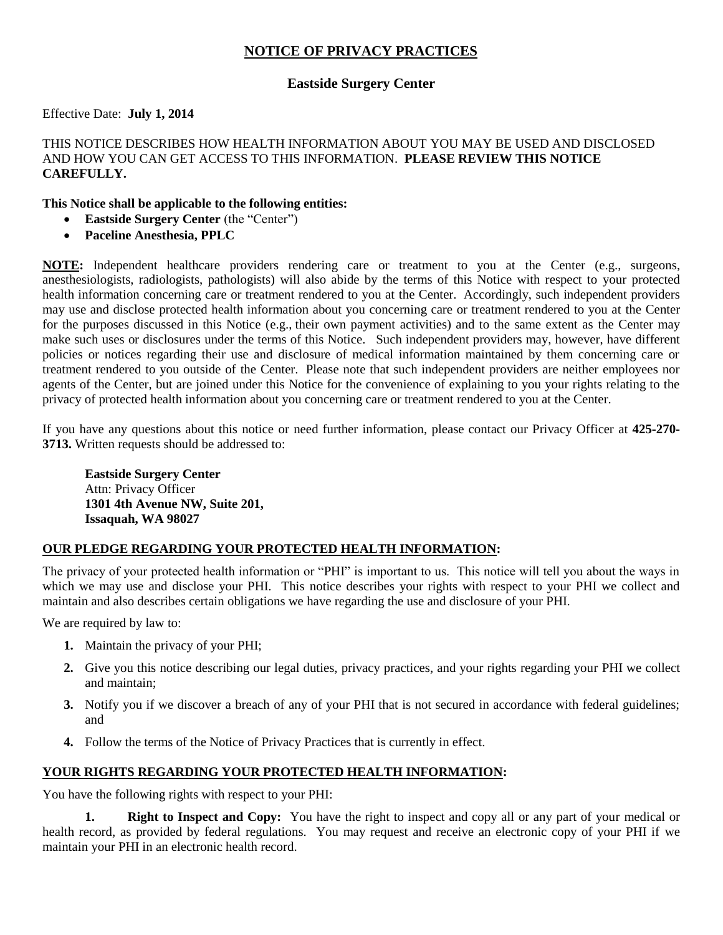# **NOTICE OF PRIVACY PRACTICES**

## **Eastside Surgery Center**

#### Effective Date: **July 1, 2014**

#### THIS NOTICE DESCRIBES HOW HEALTH INFORMATION ABOUT YOU MAY BE USED AND DISCLOSED AND HOW YOU CAN GET ACCESS TO THIS INFORMATION. **PLEASE REVIEW THIS NOTICE CAREFULLY.**

#### **This Notice shall be applicable to the following entities:**

- **Eastside Surgery Center** (the "Center")
- **Paceline Anesthesia, PPLC**

**NOTE:** Independent healthcare providers rendering care or treatment to you at the Center (e.g., surgeons, anesthesiologists, radiologists, pathologists) will also abide by the terms of this Notice with respect to your protected health information concerning care or treatment rendered to you at the Center. Accordingly, such independent providers may use and disclose protected health information about you concerning care or treatment rendered to you at the Center for the purposes discussed in this Notice (e.g., their own payment activities) and to the same extent as the Center may make such uses or disclosures under the terms of this Notice. Such independent providers may, however, have different policies or notices regarding their use and disclosure of medical information maintained by them concerning care or treatment rendered to you outside of the Center. Please note that such independent providers are neither employees nor agents of the Center, but are joined under this Notice for the convenience of explaining to you your rights relating to the privacy of protected health information about you concerning care or treatment rendered to you at the Center.

If you have any questions about this notice or need further information, please contact our Privacy Officer at **425-270- 3713.** Written requests should be addressed to:

**Eastside Surgery Center** Attn: Privacy Officer **1301 4th Avenue NW, Suite 201, Issaquah, WA 98027**

### **OUR PLEDGE REGARDING YOUR PROTECTED HEALTH INFORMATION:**

The privacy of your protected health information or "PHI" is important to us. This notice will tell you about the ways in which we may use and disclose your PHI. This notice describes your rights with respect to your PHI we collect and maintain and also describes certain obligations we have regarding the use and disclosure of your PHI.

We are required by law to:

- **1.** Maintain the privacy of your PHI;
- **2.** Give you this notice describing our legal duties, privacy practices, and your rights regarding your PHI we collect and maintain;
- **3.** Notify you if we discover a breach of any of your PHI that is not secured in accordance with federal guidelines; and
- **4.** Follow the terms of the Notice of Privacy Practices that is currently in effect.

### **YOUR RIGHTS REGARDING YOUR PROTECTED HEALTH INFORMATION:**

You have the following rights with respect to your PHI:

**Right to Inspect and Copy:** You have the right to inspect and copy all or any part of your medical or health record, as provided by federal regulations. You may request and receive an electronic copy of your PHI if we maintain your PHI in an electronic health record.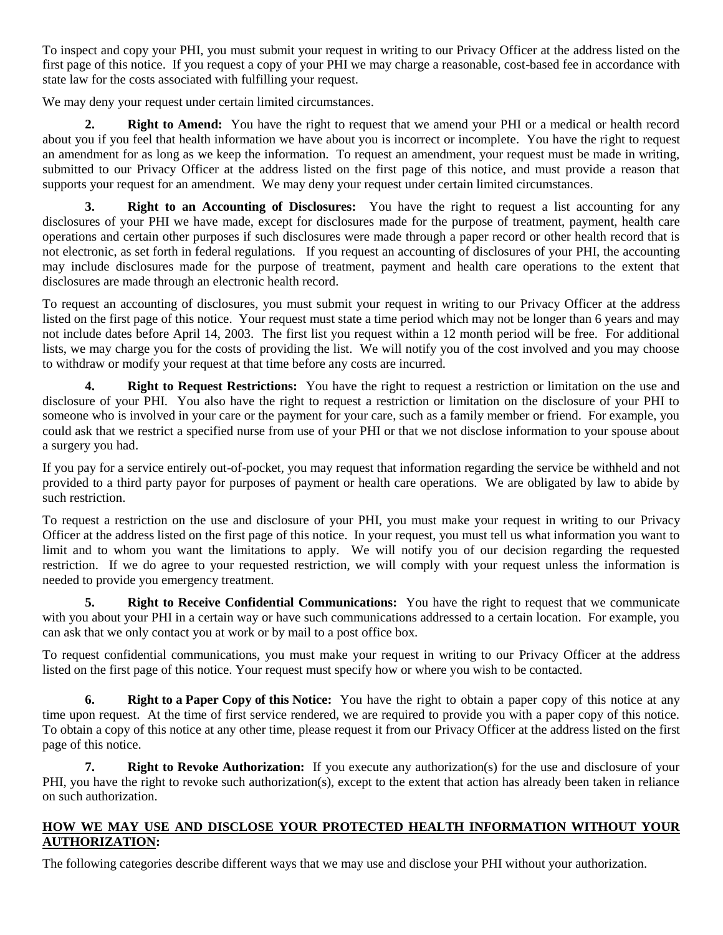To inspect and copy your PHI, you must submit your request in writing to our Privacy Officer at the address listed on the first page of this notice. If you request a copy of your PHI we may charge a reasonable, cost-based fee in accordance with state law for the costs associated with fulfilling your request.

We may deny your request under certain limited circumstances.

**2. Right to Amend:** You have the right to request that we amend your PHI or a medical or health record about you if you feel that health information we have about you is incorrect or incomplete. You have the right to request an amendment for as long as we keep the information. To request an amendment, your request must be made in writing, submitted to our Privacy Officer at the address listed on the first page of this notice, and must provide a reason that supports your request for an amendment. We may deny your request under certain limited circumstances.

**3. Right to an Accounting of Disclosures:** You have the right to request a list accounting for any disclosures of your PHI we have made, except for disclosures made for the purpose of treatment, payment, health care operations and certain other purposes if such disclosures were made through a paper record or other health record that is not electronic, as set forth in federal regulations. If you request an accounting of disclosures of your PHI, the accounting may include disclosures made for the purpose of treatment, payment and health care operations to the extent that disclosures are made through an electronic health record.

To request an accounting of disclosures, you must submit your request in writing to our Privacy Officer at the address listed on the first page of this notice. Your request must state a time period which may not be longer than 6 years and may not include dates before April 14, 2003. The first list you request within a 12 month period will be free. For additional lists, we may charge you for the costs of providing the list. We will notify you of the cost involved and you may choose to withdraw or modify your request at that time before any costs are incurred.

**4. Right to Request Restrictions:** You have the right to request a restriction or limitation on the use and disclosure of your PHI. You also have the right to request a restriction or limitation on the disclosure of your PHI to someone who is involved in your care or the payment for your care, such as a family member or friend. For example, you could ask that we restrict a specified nurse from use of your PHI or that we not disclose information to your spouse about a surgery you had.

If you pay for a service entirely out-of-pocket, you may request that information regarding the service be withheld and not provided to a third party payor for purposes of payment or health care operations. We are obligated by law to abide by such restriction.

To request a restriction on the use and disclosure of your PHI, you must make your request in writing to our Privacy Officer at the address listed on the first page of this notice. In your request, you must tell us what information you want to limit and to whom you want the limitations to apply. We will notify you of our decision regarding the requested restriction. If we do agree to your requested restriction, we will comply with your request unless the information is needed to provide you emergency treatment.

**5. Right to Receive Confidential Communications:** You have the right to request that we communicate with you about your PHI in a certain way or have such communications addressed to a certain location. For example, you can ask that we only contact you at work or by mail to a post office box.

To request confidential communications, you must make your request in writing to our Privacy Officer at the address listed on the first page of this notice. Your request must specify how or where you wish to be contacted.

**6. Right to a Paper Copy of this Notice:** You have the right to obtain a paper copy of this notice at any time upon request. At the time of first service rendered, we are required to provide you with a paper copy of this notice. To obtain a copy of this notice at any other time, please request it from our Privacy Officer at the address listed on the first page of this notice.

**7. Right to Revoke Authorization:** If you execute any authorization(s) for the use and disclosure of your PHI, you have the right to revoke such authorization(s), except to the extent that action has already been taken in reliance on such authorization.

### **HOW WE MAY USE AND DISCLOSE YOUR PROTECTED HEALTH INFORMATION WITHOUT YOUR AUTHORIZATION:**

The following categories describe different ways that we may use and disclose your PHI without your authorization.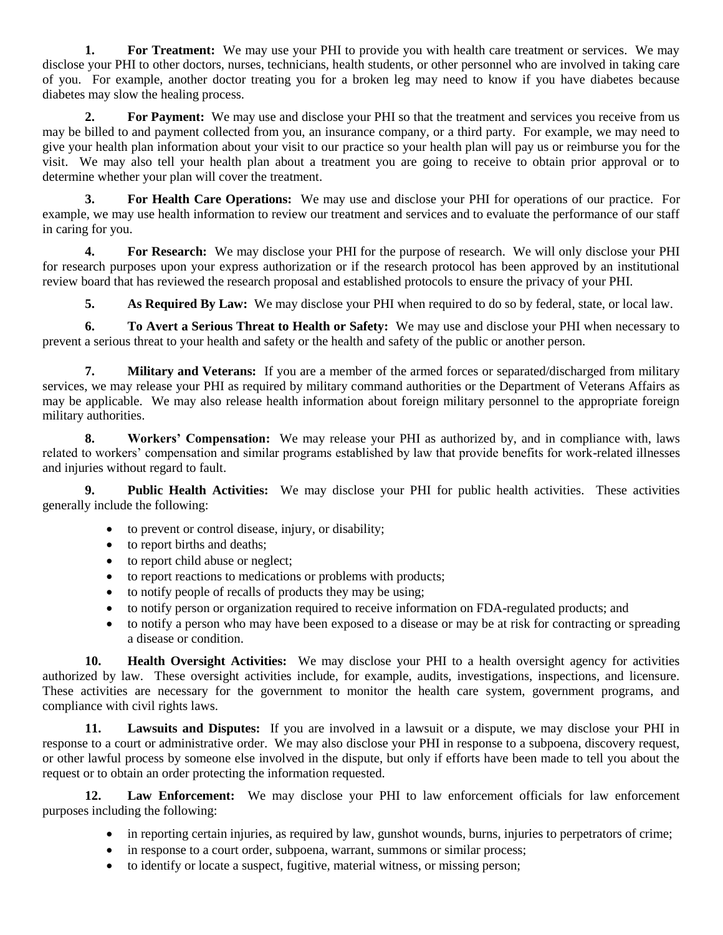**1. For Treatment:** We may use your PHI to provide you with health care treatment or services. We may disclose your PHI to other doctors, nurses, technicians, health students, or other personnel who are involved in taking care of you. For example, another doctor treating you for a broken leg may need to know if you have diabetes because diabetes may slow the healing process.

**2. For Payment:** We may use and disclose your PHI so that the treatment and services you receive from us may be billed to and payment collected from you, an insurance company, or a third party. For example, we may need to give your health plan information about your visit to our practice so your health plan will pay us or reimburse you for the visit. We may also tell your health plan about a treatment you are going to receive to obtain prior approval or to determine whether your plan will cover the treatment.

**3. For Health Care Operations:** We may use and disclose your PHI for operations of our practice. For example, we may use health information to review our treatment and services and to evaluate the performance of our staff in caring for you.

**4. For Research:** We may disclose your PHI for the purpose of research. We will only disclose your PHI for research purposes upon your express authorization or if the research protocol has been approved by an institutional review board that has reviewed the research proposal and established protocols to ensure the privacy of your PHI.

**5. As Required By Law:** We may disclose your PHI when required to do so by federal, state, or local law.

**6. To Avert a Serious Threat to Health or Safety:** We may use and disclose your PHI when necessary to prevent a serious threat to your health and safety or the health and safety of the public or another person.

**7. Military and Veterans:** If you are a member of the armed forces or separated/discharged from military services, we may release your PHI as required by military command authorities or the Department of Veterans Affairs as may be applicable. We may also release health information about foreign military personnel to the appropriate foreign military authorities.

**8. Workers' Compensation:** We may release your PHI as authorized by, and in compliance with, laws related to workers' compensation and similar programs established by law that provide benefits for work-related illnesses and injuries without regard to fault.

**9. Public Health Activities:** We may disclose your PHI for public health activities. These activities generally include the following:

- to prevent or control disease, injury, or disability;
- to report births and deaths;
- to report child abuse or neglect;
- to report reactions to medications or problems with products;
- to notify people of recalls of products they may be using;
- to notify person or organization required to receive information on FDA-regulated products; and
- to notify a person who may have been exposed to a disease or may be at risk for contracting or spreading a disease or condition.

**10. Health Oversight Activities:** We may disclose your PHI to a health oversight agency for activities authorized by law. These oversight activities include, for example, audits, investigations, inspections, and licensure. These activities are necessary for the government to monitor the health care system, government programs, and compliance with civil rights laws.

**11. Lawsuits and Disputes:** If you are involved in a lawsuit or a dispute, we may disclose your PHI in response to a court or administrative order. We may also disclose your PHI in response to a subpoena, discovery request, or other lawful process by someone else involved in the dispute, but only if efforts have been made to tell you about the request or to obtain an order protecting the information requested.

**12. Law Enforcement:** We may disclose your PHI to law enforcement officials for law enforcement purposes including the following:

- in reporting certain injuries, as required by law, gunshot wounds, burns, injuries to perpetrators of crime;
- in response to a court order, subpoena, warrant, summons or similar process;
- to identify or locate a suspect, fugitive, material witness, or missing person;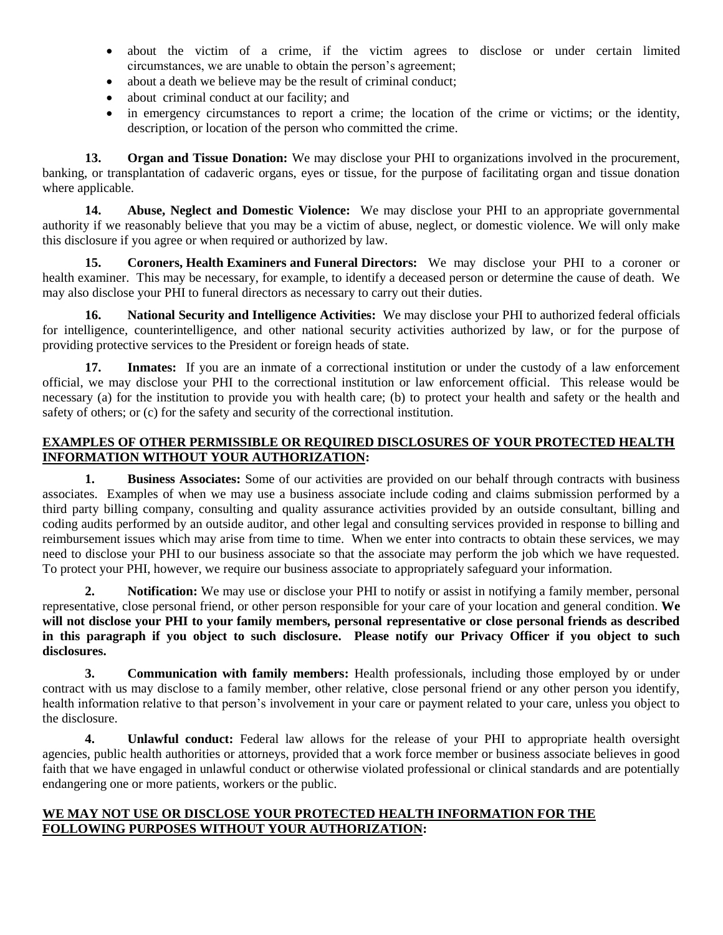- about the victim of a crime, if the victim agrees to disclose or under certain limited circumstances, we are unable to obtain the person's agreement;
- about a death we believe may be the result of criminal conduct;
- about criminal conduct at our facility; and
- in emergency circumstances to report a crime; the location of the crime or victims; or the identity, description, or location of the person who committed the crime.

**13. Organ and Tissue Donation:** We may disclose your PHI to organizations involved in the procurement, banking, or transplantation of cadaveric organs, eyes or tissue, for the purpose of facilitating organ and tissue donation where applicable.

**14. Abuse, Neglect and Domestic Violence:** We may disclose your PHI to an appropriate governmental authority if we reasonably believe that you may be a victim of abuse, neglect, or domestic violence. We will only make this disclosure if you agree or when required or authorized by law.

**15. Coroners, Health Examiners and Funeral Directors:** We may disclose your PHI to a coroner or health examiner. This may be necessary, for example, to identify a deceased person or determine the cause of death. We may also disclose your PHI to funeral directors as necessary to carry out their duties.

**16. National Security and Intelligence Activities:** We may disclose your PHI to authorized federal officials for intelligence, counterintelligence, and other national security activities authorized by law, or for the purpose of providing protective services to the President or foreign heads of state.

**17. Inmates:** If you are an inmate of a correctional institution or under the custody of a law enforcement official, we may disclose your PHI to the correctional institution or law enforcement official. This release would be necessary (a) for the institution to provide you with health care; (b) to protect your health and safety or the health and safety of others; or (c) for the safety and security of the correctional institution.

### **EXAMPLES OF OTHER PERMISSIBLE OR REQUIRED DISCLOSURES OF YOUR PROTECTED HEALTH INFORMATION WITHOUT YOUR AUTHORIZATION:**

**1. Business Associates:** Some of our activities are provided on our behalf through contracts with business associates. Examples of when we may use a business associate include coding and claims submission performed by a third party billing company, consulting and quality assurance activities provided by an outside consultant, billing and coding audits performed by an outside auditor, and other legal and consulting services provided in response to billing and reimbursement issues which may arise from time to time. When we enter into contracts to obtain these services, we may need to disclose your PHI to our business associate so that the associate may perform the job which we have requested. To protect your PHI, however, we require our business associate to appropriately safeguard your information.

**2. Notification:** We may use or disclose your PHI to notify or assist in notifying a family member, personal representative, close personal friend, or other person responsible for your care of your location and general condition. **We will not disclose your PHI to your family members, personal representative or close personal friends as described in this paragraph if you object to such disclosure. Please notify our Privacy Officer if you object to such disclosures.**

**3. Communication with family members:** Health professionals, including those employed by or under contract with us may disclose to a family member, other relative, close personal friend or any other person you identify, health information relative to that person's involvement in your care or payment related to your care, unless you object to the disclosure.

**4. Unlawful conduct:** Federal law allows for the release of your PHI to appropriate health oversight agencies, public health authorities or attorneys, provided that a work force member or business associate believes in good faith that we have engaged in unlawful conduct or otherwise violated professional or clinical standards and are potentially endangering one or more patients, workers or the public.

#### **WE MAY NOT USE OR DISCLOSE YOUR PROTECTED HEALTH INFORMATION FOR THE FOLLOWING PURPOSES WITHOUT YOUR AUTHORIZATION:**